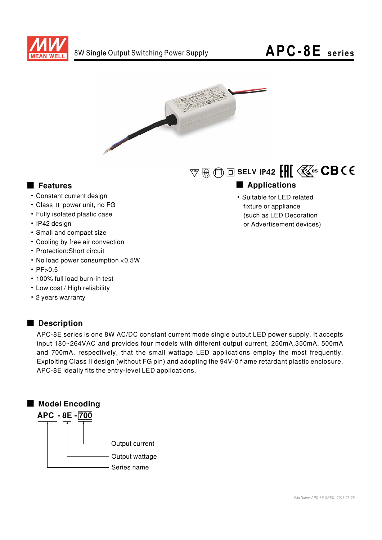

## APC-8E series



### Features

- Constant current design
- Class II power unit, no FG
- Fully isolated plastic case
- · IP42 design
- Small and compact size
- Cooling by free air convection
- Protection: Short circuit
- No load power consumption <0.5W
- $\cdot$  PF $>0.5$
- . 100% full load burn-in test
- Low cost / High reliability
- 2 years warranty

### Description

APC-8E series is one 8W AC/DC constant current mode single output LED power supply. It accepts input 180~264VAC and provides four models with different output current, 250mA,350mA, 500mA and 700mA, respectively, that the small wattage LED applications employ the most frequently. Exploiting Class II design (without FG pin) and adopting the 94V-0 flame retardant plastic enclosure, APC-8E ideally fits the entry-level LED applications.



 $\mathbb{F}\otimes\mathbb{G} \boxdot$  SELV IP42  $\left[\prod\left(\frac{2}{\Delta^{2}}\right)\right]$   $\mathbb{C}\mathbf{B}$  (  $\in$ 

## Applications

· Suitable for LED related fixture or appliance (such as LED Decoration or Advertisement devices)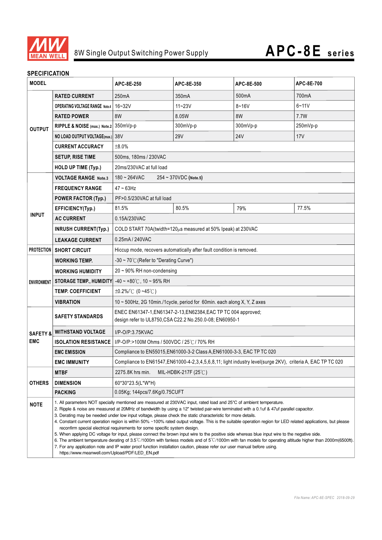

#### **SPECIFICATION**

| <b>MODEL</b>                      |                                                                                                                                                                                                                                                                                                                                                                                                                                                                                                                                                                                                                                                                                                                                                                                                                                                                                                                                                                                                                                                                                                                           | APC-8E-250                                                                                                                 | APC-8E-350         | APC-8E-500      | APC-8E-700 |
|-----------------------------------|---------------------------------------------------------------------------------------------------------------------------------------------------------------------------------------------------------------------------------------------------------------------------------------------------------------------------------------------------------------------------------------------------------------------------------------------------------------------------------------------------------------------------------------------------------------------------------------------------------------------------------------------------------------------------------------------------------------------------------------------------------------------------------------------------------------------------------------------------------------------------------------------------------------------------------------------------------------------------------------------------------------------------------------------------------------------------------------------------------------------------|----------------------------------------------------------------------------------------------------------------------------|--------------------|-----------------|------------|
| <b>OUTPUT</b>                     | <b>RATED CURRENT</b>                                                                                                                                                                                                                                                                                                                                                                                                                                                                                                                                                                                                                                                                                                                                                                                                                                                                                                                                                                                                                                                                                                      | 250mA                                                                                                                      | 350 <sub>m</sub> A | 500mA           | 700mA      |
|                                   | <b>OPERATING VOLTAGE RANGE Note.4</b>                                                                                                                                                                                                                                                                                                                                                                                                                                                                                                                                                                                                                                                                                                                                                                                                                                                                                                                                                                                                                                                                                     | $16 - 32V$                                                                                                                 | $11 - 23V$         | $8 - 16V$       | $6 - 11V$  |
|                                   | <b>RATED POWER</b>                                                                                                                                                                                                                                                                                                                                                                                                                                                                                                                                                                                                                                                                                                                                                                                                                                                                                                                                                                                                                                                                                                        | 8W                                                                                                                         | 8.05W              | 8W              | 7.7W       |
|                                   | RIPPLE & NOISE (max.) Note.2                                                                                                                                                                                                                                                                                                                                                                                                                                                                                                                                                                                                                                                                                                                                                                                                                                                                                                                                                                                                                                                                                              | 350mVp-p                                                                                                                   | 300mVp-p           | 300mVp-p        | 250mVp-p   |
|                                   | NO LOAD OUTPUT VOLTAGE(max.) 38V                                                                                                                                                                                                                                                                                                                                                                                                                                                                                                                                                                                                                                                                                                                                                                                                                                                                                                                                                                                                                                                                                          |                                                                                                                            | <b>29V</b>         | 24 <sub>V</sub> | 17V        |
|                                   | <b>CURRENT ACCURACY</b>                                                                                                                                                                                                                                                                                                                                                                                                                                                                                                                                                                                                                                                                                                                                                                                                                                                                                                                                                                                                                                                                                                   | ±8.0%                                                                                                                      |                    |                 |            |
|                                   | <b>SETUP, RISE TIME</b>                                                                                                                                                                                                                                                                                                                                                                                                                                                                                                                                                                                                                                                                                                                                                                                                                                                                                                                                                                                                                                                                                                   | 500ms, 180ms / 230VAC                                                                                                      |                    |                 |            |
|                                   | <b>HOLD UP TIME (Typ.)</b>                                                                                                                                                                                                                                                                                                                                                                                                                                                                                                                                                                                                                                                                                                                                                                                                                                                                                                                                                                                                                                                                                                | 20ms/230VAC at full load                                                                                                   |                    |                 |            |
|                                   | <b>VOLTAGE RANGE Note.3</b>                                                                                                                                                                                                                                                                                                                                                                                                                                                                                                                                                                                                                                                                                                                                                                                                                                                                                                                                                                                                                                                                                               | $180 - 264$ VAC<br>$254 \sim 370$ VDC (Note.5)                                                                             |                    |                 |            |
| <b>INPUT</b>                      | <b>FREQUENCY RANGE</b>                                                                                                                                                                                                                                                                                                                                                                                                                                                                                                                                                                                                                                                                                                                                                                                                                                                                                                                                                                                                                                                                                                    | $47 - 63$ Hz                                                                                                               |                    |                 |            |
|                                   | <b>POWER FACTOR (Typ.)</b>                                                                                                                                                                                                                                                                                                                                                                                                                                                                                                                                                                                                                                                                                                                                                                                                                                                                                                                                                                                                                                                                                                | PF>0.5/230VAC at full load                                                                                                 |                    |                 |            |
|                                   | EFFICIENCY(Typ.)                                                                                                                                                                                                                                                                                                                                                                                                                                                                                                                                                                                                                                                                                                                                                                                                                                                                                                                                                                                                                                                                                                          | 81.5%                                                                                                                      | 80.5%              | 79%             | 77.5%      |
|                                   | <b>AC CURRENT</b>                                                                                                                                                                                                                                                                                                                                                                                                                                                                                                                                                                                                                                                                                                                                                                                                                                                                                                                                                                                                                                                                                                         | 0.15A/230VAC                                                                                                               |                    |                 |            |
|                                   | <b>INRUSH CURRENT(Typ.)</b>                                                                                                                                                                                                                                                                                                                                                                                                                                                                                                                                                                                                                                                                                                                                                                                                                                                                                                                                                                                                                                                                                               | COLD START 70A(twidth=120µs measured at 50% Ipeak) at 230VAC                                                               |                    |                 |            |
|                                   | <b>LEAKAGE CURRENT</b>                                                                                                                                                                                                                                                                                                                                                                                                                                                                                                                                                                                                                                                                                                                                                                                                                                                                                                                                                                                                                                                                                                    | 0.25mA / 240VAC                                                                                                            |                    |                 |            |
| <b>PROTECTION</b>                 | <b>SHORT CIRCUIT</b>                                                                                                                                                                                                                                                                                                                                                                                                                                                                                                                                                                                                                                                                                                                                                                                                                                                                                                                                                                                                                                                                                                      | Hiccup mode, recovers automatically after fault condition is removed.                                                      |                    |                 |            |
| <b>ENVIRONMENT</b>                | <b>WORKING TEMP.</b>                                                                                                                                                                                                                                                                                                                                                                                                                                                                                                                                                                                                                                                                                                                                                                                                                                                                                                                                                                                                                                                                                                      | -30 ~ $70^{\circ}$ (Refer to "Derating Curve")                                                                             |                    |                 |            |
|                                   | <b>WORKING HUMIDITY</b>                                                                                                                                                                                                                                                                                                                                                                                                                                                                                                                                                                                                                                                                                                                                                                                                                                                                                                                                                                                                                                                                                                   | 20 ~ 90% RH non-condensing                                                                                                 |                    |                 |            |
|                                   | <b>STORAGE TEMP., HUMIDITY</b>                                                                                                                                                                                                                                                                                                                                                                                                                                                                                                                                                                                                                                                                                                                                                                                                                                                                                                                                                                                                                                                                                            | $-40 \sim +80^{\circ}$ C, 10 ~ 95% RH                                                                                      |                    |                 |            |
|                                   | <b>TEMP, COEFFICIENT</b>                                                                                                                                                                                                                                                                                                                                                                                                                                                                                                                                                                                                                                                                                                                                                                                                                                                                                                                                                                                                                                                                                                  | $\pm 0.2\%$ /°C (0~45°C)                                                                                                   |                    |                 |            |
|                                   | <b>VIBRATION</b>                                                                                                                                                                                                                                                                                                                                                                                                                                                                                                                                                                                                                                                                                                                                                                                                                                                                                                                                                                                                                                                                                                          | 10 ~ 500Hz, 2G 10min./1cycle, period for 60min. each along X, Y, Z axes                                                    |                    |                 |            |
| <b>SAFETY &amp;</b><br><b>EMC</b> | <b>SAFETY STANDARDS</b>                                                                                                                                                                                                                                                                                                                                                                                                                                                                                                                                                                                                                                                                                                                                                                                                                                                                                                                                                                                                                                                                                                   | ENEC EN61347-1, EN61347-2-13, EN62384, EAC TP TC 004 approved;<br>design refer to UL8750, CSA C22.2 No.250.0-08; EN60950-1 |                    |                 |            |
|                                   | <b>WITHSTAND VOLTAGE</b>                                                                                                                                                                                                                                                                                                                                                                                                                                                                                                                                                                                                                                                                                                                                                                                                                                                                                                                                                                                                                                                                                                  | I/P-O/P:3.75KVAC                                                                                                           |                    |                 |            |
|                                   | <b>ISOLATION RESISTANCE</b>                                                                                                                                                                                                                                                                                                                                                                                                                                                                                                                                                                                                                                                                                                                                                                                                                                                                                                                                                                                                                                                                                               | I/P-O/P:>100M Ohms / 500VDC / 25℃/ 70% RH                                                                                  |                    |                 |            |
|                                   | <b>EMC EMISSION</b>                                                                                                                                                                                                                                                                                                                                                                                                                                                                                                                                                                                                                                                                                                                                                                                                                                                                                                                                                                                                                                                                                                       | Compliance to EN55015, EN61000-3-2 Class A, EN61000-3-3, EAC TP TC 020                                                     |                    |                 |            |
|                                   | <b>EMC IMMUNITY</b>                                                                                                                                                                                                                                                                                                                                                                                                                                                                                                                                                                                                                                                                                                                                                                                                                                                                                                                                                                                                                                                                                                       | Compliance to EN61547, EN61000-4-2, 3, 4, 5, 6, 8, 11; light industry level(surge 2KV), criteria A, EAC TP TC 020          |                    |                 |            |
| <b>OTHERS</b>                     | <b>MTBF</b>                                                                                                                                                                                                                                                                                                                                                                                                                                                                                                                                                                                                                                                                                                                                                                                                                                                                                                                                                                                                                                                                                                               | 2275.8K hrs min.<br>MIL-HDBK-217F $(25^{\circ}\text{C})$                                                                   |                    |                 |            |
|                                   | <b>DIMENSION</b>                                                                                                                                                                                                                                                                                                                                                                                                                                                                                                                                                                                                                                                                                                                                                                                                                                                                                                                                                                                                                                                                                                          | 60*30*23.5(L*W*H)                                                                                                          |                    |                 |            |
|                                   | <b>PACKING</b>                                                                                                                                                                                                                                                                                                                                                                                                                                                                                                                                                                                                                                                                                                                                                                                                                                                                                                                                                                                                                                                                                                            | 0.05Kg; 144pcs/7.6Kg/0.75CUFT                                                                                              |                    |                 |            |
| <b>NOTE</b>                       | 1. All parameters NOT specially mentioned are measured at 230VAC input, rated load and 25°C of ambient temperature.<br>2. Ripple & noise are measured at 20MHz of bandwidth by using a 12" twisted pair-wire terminated with a 0.1uf & 47uf parallel capacitor.<br>3. Derating may be needed under low input voltage, please check the static characteristic for more details.<br>4. Constant current operation region is within 50% ~100% rated output voltage. This is the suitable operation region for LED related applications, but please<br>reconfirm special electrical requirements for some specific system design.<br>5. When applying DC voltage for input, please connect the brown input wire to the positive side whereas blue input wire to the negative side.<br>6. The ambient temperature derating of 3.5°C/1000m with fanless models and of 5°C/1000m with fan models for operating altitude higher than 2000m(6500ft).<br>7. For any application note and IP water proof function installation caution, please refer our user manual before using.<br>https://www.meanwell.com/Upload/PDF/LED EN.pdf |                                                                                                                            |                    |                 |            |